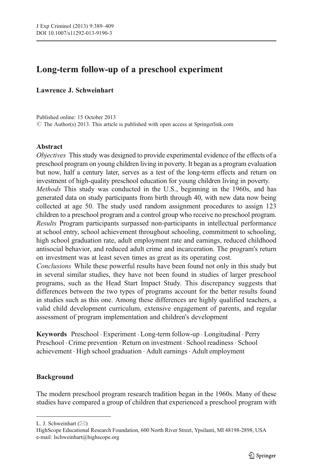# Long-term follow-up of a preschool experiment

# Lawrence J. Schweinhart

Published online: 15 October 2013  $\odot$  The Author(s) 2013. This article is published with open access at Springerlink.com

# Abstract

Objectives This study was designed to provide experimental evidence of the effects of a preschool program on young children living in poverty. It began as a program evaluation but now, half a century later, serves as a test of the long-term effects and return on investment of high-quality preschool education for young children living in poverty.

Methods This study was conducted in the U.S., beginning in the 1960s, and has generated data on study participants from birth through 40, with new data now being collected at age 50. The study used random assignment procedures to assign 123 children to a preschool program and a control group who receive no preschool program. Results Program participants surpassed non-participants in intellectual performance at school entry, school achievement throughout schooling, commitment to schooling, high school graduation rate, adult employment rate and earnings, reduced childhood antisocial behavior, and reduced adult crime and incarceration. The program's return on investment was at least seven times as great as its operating cost.

Conclusions While these powerful results have been found not only in this study but in several similar studies, they have not been found in studies of larger preschool programs, such as the Head Start Impact Study. This discrepancy suggests that differences between the two types of programs account for the better results found in studies such as this one. Among these differences are highly qualified teachers, a valid child development curriculum, extensive engagement of parents, and regular assessment of program implementation and children's development

Keywords Preschool . Experiment . Long-term follow-up . Longitudinal . Perry Preschool · Crime prevention · Return on investment · School readiness · School achievement . High school graduation . Adult earnings . Adult employment

# Background

The modern preschool program research tradition began in the 1960s. Many of these studies have compared a group of children that experienced a preschool program with

L. J. Schweinhart  $(\boxtimes)$ 

HighScope Educational Research Foundation, 600 North River Street, Ypsilanti, MI 48198-2898, USA e-mail: lschweinhart@highscope.org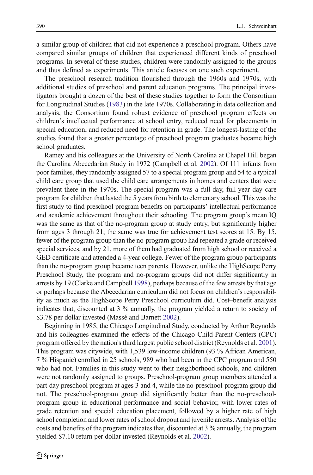a similar group of children that did not experience a preschool program. Others have compared similar groups of children that experienced different kinds of preschool programs. In several of these studies, children were randomly assigned to the groups and thus defined as experiments. This article focuses on one such experiment.

The preschool research tradition flourished through the 1960s and 1970s, with additional studies of preschool and parent education programs. The principal investigators brought a dozen of the best of these studies together to form the Consortium for Longitudinal Studies ([1983\)](#page-19-0) in the late 1970s. Collaborating in data collection and analysis, the Consortium found robust evidence of preschool program effects on children's intellectual performance at school entry, reduced need for placements in special education, and reduced need for retention in grade. The longest-lasting of the studies found that a greater percentage of preschool program graduates became high school graduates.

Ramey and his colleagues at the University of North Carolina at Chapel Hill began the Carolina Abecedarian Study in 1972 (Campbell et al. [2002\)](#page-18-0). Of 111 infants from poor families, they randomly assigned 57 to a special program group and 54 to a typical child care group that used the child care arrangements in homes and centers that were prevalent there in the 1970s. The special program was a full-day, full-year day care program for children that lasted the 5 years from birth to elementary school. This was the first study to find preschool program benefits on participants' intellectual performance and academic achievement throughout their schooling. The program group's mean IQ was the same as that of the no-program group at study entry, but significantly higher from ages 3 through 21; the same was true for achievement test scores at 15. By 15, fewer of the program group than the no-program group had repeated a grade or received special services, and by 21, more of them had graduated from high school or received a GED certificate and attended a 4-year college. Fewer of the program group participants than the no-program group became teen parents. However, unlike the HighScope Perry Preschool Study, the program and no-program groups did not differ significantly in arrests by 19 (Clarke and Campbell [1998](#page-18-0)), perhaps because of the few arrests by that age or perhaps because the Abecedarian curriculum did not focus on children's responsibility as much as the HighScope Perry Preschool curriculum did. Cost–benefit analysis indicates that, discounted at 3 % annually, the program yielded a return to society of \$3.78 per dollar invested (Massé and Barnett [2002](#page-19-0)).

Beginning in 1985, the Chicago Longitudinal Study, conducted by Arthur Reynolds and his colleagues examined the effects of the Chicago Child-Parent Centers (CPC) program offered by the nation's third largest public school district (Reynolds et al. [2001\)](#page-19-0). This program was citywide, with 1,539 low-income children (93 % African American, 7 % Hispanic) enrolled in 25 schools, 989 who had been in the CPC program and 550 who had not. Families in this study went to their neighborhood schools, and children were not randomly assigned to groups. Preschool-program group members attended a part-day preschool program at ages 3 and 4, while the no-preschool-program group did not. The preschool-program group did significantly better than the no-preschoolprogram group in educational performance and social behavior, with lower rates of grade retention and special education placement, followed by a higher rate of high school completion and lower rates of school dropout and juvenile arrests. Analysis of the costs and benefits of the program indicates that, discounted at 3 % annually, the program yielded \$7.10 return per dollar invested (Reynolds et al. [2002\)](#page-19-0).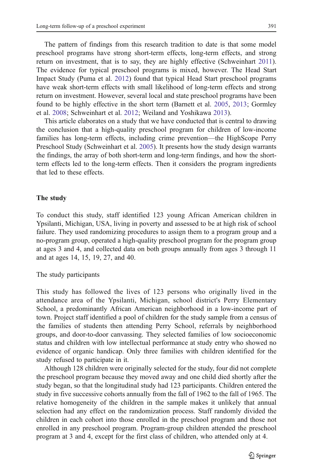The pattern of findings from this research tradition to date is that some model preschool programs have strong short-term effects, long-term effects, and strong return on investment, that is to say, they are highly effective (Schweinhart [2011\)](#page-19-0). The evidence for typical preschool programs is mixed, however. The Head Start Impact Study (Puma et al. [2012](#page-19-0)) found that typical Head Start preschool programs have weak short-term effects with small likelihood of long-term effects and strong return on investment. However, several local and state preschool programs have been found to be highly effective in the short term (Barnett et al. [2005,](#page-18-0) [2013;](#page-18-0) Gormley et al. [2008;](#page-19-0) Schweinhart et al. [2012](#page-19-0); Weiland and Yoshikawa [2013\)](#page-20-0).

This article elaborates on a study that we have conducted that is central to drawing the conclusion that a high-quality preschool program for children of low-income families has long-term effects, including crime prevention—the HighScope Perry Preschool Study (Schweinhart et al. [2005](#page-19-0)). It presents how the study design warrants the findings, the array of both short-term and long-term findings, and how the shortterm effects led to the long-term effects. Then it considers the program ingredients that led to these effects.

#### The study

To conduct this study, staff identified 123 young African American children in Ypsilanti, Michigan, USA, living in poverty and assessed to be at high risk of school failure. They used randomizing procedures to assign them to a program group and a no-program group, operated a high-quality preschool program for the program group at ages 3 and 4, and collected data on both groups annually from ages 3 through 11 and at ages 14, 15, 19, 27, and 40.

The study participants

This study has followed the lives of 123 persons who originally lived in the attendance area of the Ypsilanti, Michigan, school district's Perry Elementary School, a predominantly African American neighborhood in a low-income part of town. Project staff identified a pool of children for the study sample from a census of the families of students then attending Perry School, referrals by neighborhood groups, and door-to-door canvassing. They selected families of low socioeconomic status and children with low intellectual performance at study entry who showed no evidence of organic handicap. Only three families with children identified for the study refused to participate in it.

Although 128 children were originally selected for the study, four did not complete the preschool program because they moved away and one child died shortly after the study began, so that the longitudinal study had 123 participants. Children entered the study in five successive cohorts annually from the fall of 1962 to the fall of 1965. The relative homogeneity of the children in the sample makes it unlikely that annual selection had any effect on the randomization process. Staff randomly divided the children in each cohort into those enrolled in the preschool program and those not enrolled in any preschool program. Program-group children attended the preschool program at 3 and 4, except for the first class of children, who attended only at 4.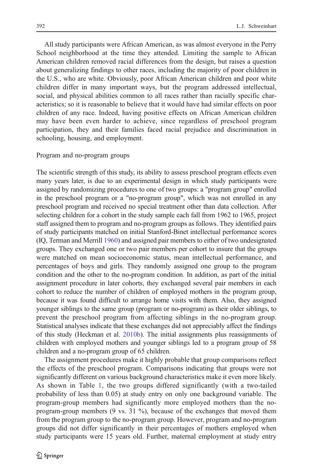All study participants were African American, as was almost everyone in the Perry School neighborhood at the time they attended. Limiting the sample to African American children removed racial differences from the design, but raises a question about generalizing findings to other races, including the majority of poor children in the U.S., who are white. Obviously, poor African American children and poor white children differ in many important ways, but the program addressed intellectual, social, and physical abilities common to all races rather than racially specific characteristics; so it is reasonable to believe that it would have had similar effects on poor children of any race. Indeed, having positive effects on African American children may have been even harder to achieve, since regardless of preschool program participation, they and their families faced racial prejudice and discrimination in schooling, housing, and employment.

#### Program and no-program groups

The scientific strength of this study, its ability to assess preschool program effects even many years later, is due to an experimental design in which study participants were assigned by randomizing procedures to one of two groups: a "program group" enrolled in the preschool program or a "no-program group", which was not enrolled in any preschool program and received no special treatment other than data collection. After selecting children for a cohort in the study sample each fall from 1962 to 1965, project staff assigned them to program and no-program groups as follows. They identified pairs of study participants matched on initial Stanford-Binet intellectual performance scores (IQ, Terman and Merrill [1960](#page-20-0)) and assigned pair members to either of two undesignated groups. They exchanged one or two pair members per cohort to insure that the groups were matched on mean socioeconomic status, mean intellectual performance, and percentages of boys and girls. They randomly assigned one group to the program condition and the other to the no-program condition. In addition, as part of the initial assignment procedure in later cohorts, they exchanged several pair members in each cohort to reduce the number of children of employed mothers in the program group, because it was found difficult to arrange home visits with them. Also, they assigned younger siblings to the same group (program or no-program) as their older siblings, to prevent the preschool program from affecting siblings in the no-program group. Statistical analyses indicate that these exchanges did not appreciably affect the findings of this study (Heckman et al. [2010b](#page-19-0)). The initial assignments plus reassignments of children with employed mothers and younger siblings led to a program group of 58 children and a no-program group of 65 children.

The assignment procedures make it highly probable that group comparisons reflect the effects of the preschool program. Comparisons indicating that groups were not significantly different on various background characteristics make it even more likely. As shown in Table [1](#page-4-0), the two groups differed significantly (with a two-tailed probability of less than 0.05) at study entry on only one background variable. The program-group members had significantly more employed mothers than the noprogram-group members (9 vs. 31 %), because of the exchanges that moved them from the program group to the no-program group. However, program and no-program groups did not differ significantly in their percentages of mothers employed when study participants were 15 years old. Further, maternal employment at study entry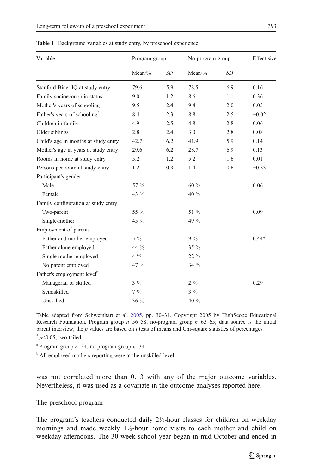| Variable                                 | Program group  |           | No-program group | Effect size |         |  |
|------------------------------------------|----------------|-----------|------------------|-------------|---------|--|
|                                          | $Mean\%$       | <b>SD</b> | $Mean\%$         | SD          |         |  |
| Stanford-Binet IQ at study entry         | 79.6           | 5.9       | 78.5             | 6.9         | 0.16    |  |
| Family socioeconomic status              | 9.0            | 1.2       | 8.6              | 1.1         | 0.36    |  |
| Mother's years of schooling              | 9.5            | 2.4       | 9.4              | 2.0         | 0.05    |  |
| Father's years of schooling <sup>a</sup> | 8.4            | 2.3       | 8.8              | 2.5         | $-0.02$ |  |
| Children in family                       | 4.9            | 2.5       | 4.8              | 2.8         | 0.06    |  |
| Older siblings                           | 2.8            | 2.4       | 3.0              | 2.8         | 0.08    |  |
| Child's age in months at study entry     | 42.7           | 6.2       | 41.9             | 5.9         | 0.14    |  |
| Mother's age in years at study entry     | 29.6           | 6.2       | 28.7             | 6.9         | 0.13    |  |
| Rooms in home at study entry             | 5.2            | 1.2       | 5.2              | 1.6         | 0.01    |  |
| Persons per room at study entry          | 1.2            | 0.3       | 1.4              | 0.6         | $-0.33$ |  |
| Participant's gender                     |                |           |                  |             |         |  |
| Male                                     | 57 %           |           | 60 %             |             | 0.06    |  |
| Female                                   | 43 %           |           | 40 %             |             |         |  |
| Family configuration at study entry      |                |           |                  |             |         |  |
| Two-parent                               | 55 %           |           | 51 %             |             | 0.09    |  |
| Single-mother                            | 45 %           |           | 49 %             |             |         |  |
| Employment of parents                    |                |           |                  |             |         |  |
| Father and mother employed               | $5\%$          |           | $9\%$            |             | $0.44*$ |  |
| Father alone employed                    | 44 %           |           |                  | $35\%$      |         |  |
| Single mother employed                   | $4\%$          |           | 22 %             |             |         |  |
| No parent employed                       | 47 %           |           | 34 %             |             |         |  |
| Father's employment level <sup>b</sup>   |                |           |                  |             |         |  |
| Managerial or skilled                    | $3\%$          |           | $2\%$            |             | 0.29    |  |
| Semiskilled                              | $7\frac{0}{0}$ |           | $3\%$            |             |         |  |
| Unskilled                                | 36 %           |           | 40 %             |             |         |  |

<span id="page-4-0"></span>

|  | <b>Table 1</b> Background variables at study entry, by preschool experience |  |  |  |  |  |
|--|-----------------------------------------------------------------------------|--|--|--|--|--|
|--|-----------------------------------------------------------------------------|--|--|--|--|--|

Table adapted from Schweinhart et al. [2005](#page-19-0), pp. 30–31. Copyright 2005 by HighScope Educational Research Foundation. Program group  $n=56-58$ , no-program group  $n=63-65$ ; data source is the initial parent interview; the  $p$  values are based on  $t$  tests of means and Chi-square statistics of percentages

 $*$   $p<0.05$ , two-tailed

<sup>a</sup> Program group  $n=34$ , no-program group  $n=34$ 

<sup>b</sup> All employed mothers reporting were at the unskilled level

was not correlated more than 0.13 with any of the major outcome variables. Nevertheless, it was used as a covariate in the outcome analyses reported here.

# The preschool program

The program's teachers conducted daily 2½-hour classes for children on weekday mornings and made weekly 1½-hour home visits to each mother and child on weekday afternoons. The 30-week school year began in mid-October and ended in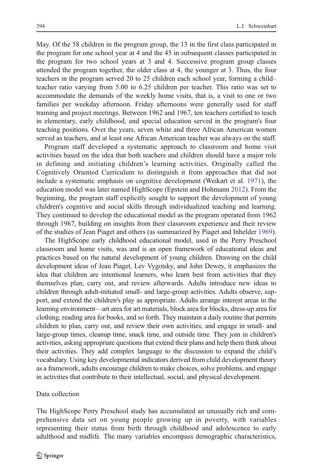May. Of the 58 children in the program group, the 13 in the first class participated in the program for one school year at 4 and the 45 in subsequent classes participated in the program for two school years at 3 and 4. Successive program group classes attended the program together, the older class at 4, the younger at 3. Thus, the four teachers in the program served 20 to 25 children each school year, forming a child– teacher ratio varying from 5.00 to 6.25 children per teacher. This ratio was set to accommodate the demands of the weekly home visits, that is, a visit to one or two families per weekday afternoon. Friday afternoons were generally used for staff training and project meetings. Between 1962 and 1967, ten teachers certified to teach in elementary, early childhood, and special education served in the program's four teaching positions. Over the years, seven white and three African American women served as teachers, and at least one African American teacher was always on the staff.

Program staff developed a systematic approach to classroom and home visit activities based on the idea that both teachers and children should have a major role in defining and initiating children's learning activities. Originally called the Cognitively Oriented Curriculum to distinguish it from approaches that did not include a systematic emphasis on cognitive development (Weikart et al. [1971](#page-20-0)), the education model was later named HighScope (Epstein and Hohmann [2012\)](#page-19-0). From the beginning, the program staff explicitly sought to support the development of young children's cognitive and social skills through individualized teaching and learning. They continued to develop the educational model as the program operated from 1962 through 1967, building on insights from their classroom experience and their review of the studies of Jean Piaget and others (as summarized by Piaget and Inhelder [1969\)](#page-19-0).

The HighScope early childhood educational model, used in the Perry Preschool classroom and home visits, was and is an open framework of educational ideas and practices based on the natural development of young children. Drawing on the child development ideas of Jean Piaget, Lev Vygotsky, and John Dewey, it emphasizes the idea that children are intentional learners, who learn best from activities that they themselves plan, carry out, and review afterwards. Adults introduce new ideas to children through adult-initiated small- and large-group activities. Adults observe, support, and extend the children's play as appropriate. Adults arrange interest areas in the learning environment—art area for art materials, block area for blocks, dress-up area for clothing, reading area for books, and so forth. They maintain a daily routine that permits children to plan, carry out, and review their own activities; and engage in small- and large-group times, cleanup time, snack time, and outside time. They join in children's activities, asking appropriate questions that extend their plans and help them think about their activities. They add complex language to the discussion to expand the child's vocabulary. Using key developmental indicators derived from child development theory as a framework, adults encourage children to make choices, solve problems, and engage in activities that contribute to their intellectual, social, and physical development.

# Data collection

The HighScope Perry Preschool study has accumulated an unusually rich and comprehensive data set on young people growing up in poverty, with variables representing their status from birth through childhood and adolescence to early adulthood and midlife. The many variables encompass demographic characteristics,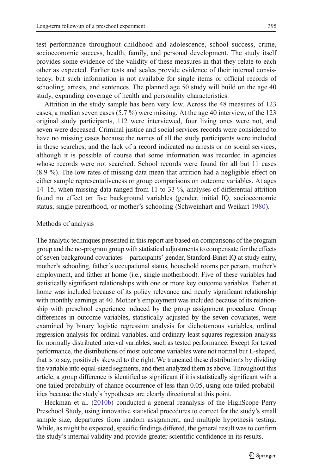test performance throughout childhood and adolescence, school success, crime, socioeconomic success, health, family, and personal development. The study itself provides some evidence of the validity of these measures in that they relate to each other as expected. Earlier tests and scales provide evidence of their internal consistency, but such information is not available for single items or official records of schooling, arrests, and sentences. The planned age 50 study will build on the age 40 study, expanding coverage of health and personality characteristics.

Attrition in the study sample has been very low. Across the 48 measures of 123 cases, a median seven cases (5.7 %) were missing. At the age 40 interview, of the 123 original study participants, 112 were interviewed, four living ones were not, and seven were deceased. Criminal justice and social services records were considered to have no missing cases because the names of all the study participants were included in these searches, and the lack of a record indicated no arrests or no social services, although it is possible of course that some information was recorded in agencies whose records were not searched. School records were found for all but 11 cases (8.9 %). The low rates of missing data mean that attrition had a negligible effect on either sample representativeness or group comparisons on outcome variables. At ages 14–15, when missing data ranged from 11 to 33 %, analyses of differential attrition found no effect on five background variables (gender, initial IQ, socioeconomic status, single parenthood, or mother's schooling (Schweinhart and Weikart [1980](#page-19-0)).

#### Methods of analysis

The analytic techniques presented in this report are based on comparisons of the program group and the no-program group with statistical adjustments to compensate for the effects of seven background covariates—participants' gender, Stanford-Binet IQ at study entry, mother's schooling, father's occupational status, household rooms per person, mother's employment, and father at home (i.e., single motherhood). Five of these variables had statistically significant relationships with one or more key outcome variables. Father at home was included because of its policy relevance and nearly significant relationship with monthly earnings at 40. Mother's employment was included because of its relationship with preschool experience induced by the group assignment procedure. Group differences in outcome variables, statistically adjusted by the seven covariates, were examined by binary logistic regression analysis for dichotomous variables, ordinal regression analysis for ordinal variables, and ordinary least-squares regression analysis for normally distributed interval variables, such as tested performance. Except for tested performance, the distributions of most outcome variables were not normal but L-shaped, that is to say, positively skewed to the right. We truncated these distributions by dividing the variable into equal-sized segments, and then analyzed them as above. Throughout this article, a group difference is identified as significant if it is statistically significant with a one-tailed probability of chance occurrence of less than 0.05, using one-tailed probabilities because the study's hypotheses are clearly directional at this point.

Heckman et al. ([2010b](#page-19-0)) conducted a general reanalysis of the HighScope Perry Preschool Study, using innovative statistical procedures to correct for the study's small sample size, departures from random assignment, and multiple hypothesis testing. While, as might be expected, specific findings differed, the general result was to confirm the study's internal validity and provide greater scientific confidence in its results.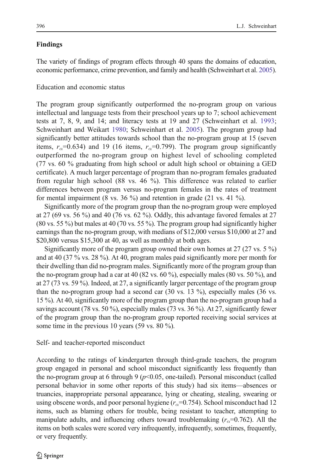# Findings

The variety of findings of program effects through 40 spans the domains of education, economic performance, crime prevention, and family and health (Schweinhart et al. [2005\)](#page-19-0).

## Education and economic status

The program group significantly outperformed the no-program group on various intellectual and language tests from their preschool years up to 7; school achievement tests at 7, 8, 9, and 14; and literacy tests at 19 and 27 (Schweinhart et al. [1993;](#page-19-0) Schweinhart and Weikart [1980](#page-19-0); Schweinhart et al. [2005](#page-19-0)). The program group had significantly better attitudes towards school than the no-program group at 15 (seven items,  $r_0$ =0.634) and 19 (16 items,  $r_0$ =0.799). The program group significantly outperformed the no-program group on highest level of schooling completed (77 vs. 60 % graduating from high school or adult high school or obtaining a GED certificate). A much larger percentage of program than no-program females graduated from regular high school (88 vs. 46 %). This difference was related to earlier differences between program versus no-program females in the rates of treatment for mental impairment (8 vs. 36 %) and retention in grade (21 vs. 41 %).

Significantly more of the program group than the no-program group were employed at 27 (69 vs. 56  $\%$ ) and 40 (76 vs. 62  $\%$ ). Oddly, this advantage favored females at 27 (80 vs. 55 %) but males at 40 (70 vs. 55 %). The program group had significantly higher earnings than the no-program group, with medians of \$12,000 versus \$10,000 at 27 and \$20,800 versus \$15,300 at 40, as well as monthly at both ages.

Significantly more of the program group owned their own homes at 27 (27 vs. 5 %) and at 40 (37 % vs. 28 %). At 40, program males paid significantly more per month for their dwelling than did no-program males. Significantly more of the program group than the no-program group had a car at 40 (82 vs. 60 %), especially males (80 vs. 50 %), and at 27 (73 vs. 59 %). Indeed, at 27, a significantly larger percentage of the program group than the no-program group had a second car (30 vs. 13 %), especially males (36 vs. 15 %). At 40, significantly more of the program group than the no-program group had a savings account (78 vs. 50 %), especially males (73 vs. 36 %). At 27, significantly fewer of the program group than the no-program group reported receiving social services at some time in the previous 10 years (59 vs. 80 %).

## Self- and teacher-reported misconduct

According to the ratings of kindergarten through third-grade teachers, the program group engaged in personal and school misconduct significantly less frequently than the no-program group at 6 through 9 ( $p$ <0.05, one-tailed). Personal misconduct (called personal behavior in some other reports of this study) had six items—absences or truancies, inappropriate personal appearance, lying or cheating, stealing, swearing or using obscene words, and poor personal hygiene ( $r_{\alpha}$ =0.754). School misconduct had 12 items, such as blaming others for trouble, being resistant to teacher, attempting to manipulate adults, and influencing others toward troublemaking  $(r_0=0.762)$ . All the items on both scales were scored very infrequently, infrequently, sometimes, frequently, or very frequently.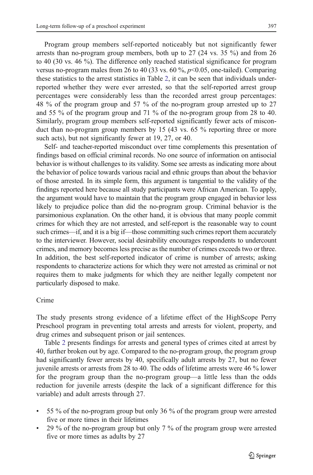Program group members self-reported noticeably but not significantly fewer arrests than no-program group members, both up to 27 (24 vs. 35 %) and from 26 to 40 (30 vs. 46 %). The difference only reached statistical significance for program versus no-program males from 26 to 40 (33 vs. 60 %,  $p<0.05$ , one-tailed). Comparing these statistics to the arrest statistics in Table [2](#page-9-0), it can be seen that individuals underreported whether they were ever arrested, so that the self-reported arrest group percentages were considerably less than the recorded arrest group percentages: 48 % of the program group and 57 % of the no-program group arrested up to 27 and 55 % of the program group and 71 % of the no-program group from 28 to 40. Similarly, program group members self-reported significantly fewer acts of misconduct than no-program group members by 15 (43 vs. 65 % reporting three or more such acts), but not significantly fewer at 19, 27, or 40.

Self- and teacher-reported misconduct over time complements this presentation of findings based on official criminal records. No one source of information on antisocial behavior is without challenges to its validity. Some see arrests as indicating more about the behavior of police towards various racial and ethnic groups than about the behavior of those arrested. In its simple form, this argument is tangential to the validity of the findings reported here because all study participants were African American. To apply, the argument would have to maintain that the program group engaged in behavior less likely to prejudice police than did the no-program group. Criminal behavior is the parsimonious explanation. On the other hand, it is obvious that many people commit crimes for which they are not arrested, and self-report is the reasonable way to count such crimes—if, and it is a big if—those committing such crimes report them accurately to the interviewer. However, social desirability encourages respondents to undercount crimes, and memory becomes less precise as the number of crimes exceeds two or three. In addition, the best self-reported indicator of crime is number of arrests; asking respondents to characterize actions for which they were not arrested as criminal or not requires them to make judgments for which they are neither legally competent nor particularly disposed to make.

## Crime

The study presents strong evidence of a lifetime effect of the HighScope Perry Preschool program in preventing total arrests and arrests for violent, property, and drug crimes and subsequent prison or jail sentences.

Table [2](#page-9-0) presents findings for arrests and general types of crimes cited at arrest by 40, further broken out by age. Compared to the no-program group, the program group had significantly fewer arrests by 40, specifically adult arrests by 27, but no fewer juvenile arrests or arrests from 28 to 40. The odds of lifetime arrests were 46 % lower for the program group than the no-program group—a little less than the odds reduction for juvenile arrests (despite the lack of a significant difference for this variable) and adult arrests through 27.

- & 55 % of the no-program group but only 36 % of the program group were arrested five or more times in their lifetimes
- & 29 % of the no-program group but only 7 % of the program group were arrested five or more times as adults by 27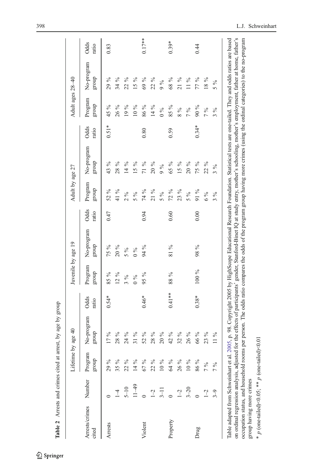<span id="page-9-0"></span>

|                                        |                | Lifetin       | ne by age 40                                                                                                                                                                                                                                                                                                                                                              |                      | Juvenile by age 19 |                     |               | Adult by age 27  |                      |                      | Adult ages 28-40 |                      |                      |
|----------------------------------------|----------------|---------------|---------------------------------------------------------------------------------------------------------------------------------------------------------------------------------------------------------------------------------------------------------------------------------------------------------------------------------------------------------------------------|----------------------|--------------------|---------------------|---------------|------------------|----------------------|----------------------|------------------|----------------------|----------------------|
| Arrests/crimes Number Program<br>cited |                | dnora         | No-program<br>dno.fa                                                                                                                                                                                                                                                                                                                                                      | <b>Odds</b><br>ratio | Program<br>dno.fa  | No-program<br>group | Odds<br>ratio | Program<br>dnous | No-program<br>dno.fa | <b>Odds</b><br>ratio | Program<br>group | No-program<br>dno.fa | <b>Odds</b><br>ratio |
| Arrests                                |                | 29 %          | 17%                                                                                                                                                                                                                                                                                                                                                                       | $0.54*$              | 85 %               | 75 %                | 0.47          | 52 %             | 43 %                 | $0.51*$              | 45 %             | 29 %                 | 0.83                 |
|                                        | $\overline{1}$ | 35 %          | 28 %                                                                                                                                                                                                                                                                                                                                                                      |                      | 12%                | 20 %                |               | 41 %             | 28 %                 |                      | 26 %             | 34 %                 |                      |
|                                        | $5 - 10$       | 22%           | 24 %                                                                                                                                                                                                                                                                                                                                                                      |                      | 3%                 | 5%                  |               | 2%               | 14%                  |                      | 19 %             | 22 %                 |                      |
|                                        | $11 - 49$      | 14%           | 31 %                                                                                                                                                                                                                                                                                                                                                                      |                      | $\frac{6}{6}$      | $\frac{6}{6}$       |               | 5%               | 15%                  |                      | $10\%$           | 15%                  |                      |
| Violent                                |                | 67 %          | 52 %                                                                                                                                                                                                                                                                                                                                                                      | $0.46*$              | 95 %               | 94 %                | 0.94          | 74 %             | 71 %                 | 0.80                 | 86 %             | 69 %                 | $0.17***$            |
|                                        | $1 - 2$        | 22 %          | 28 %                                                                                                                                                                                                                                                                                                                                                                      |                      |                    |                     |               | $21\%$           | 20%                  |                      | 14 %             | 22 %                 |                      |
|                                        | $3-11$         | $10\%$        | 20 %                                                                                                                                                                                                                                                                                                                                                                      |                      |                    |                     |               | $5\%$            | $\frac{6}{6}$        |                      | $0\%$            | $\frac{6}{6}$        |                      |
| Property                               |                | 64 %          | 42 %                                                                                                                                                                                                                                                                                                                                                                      | $0.41**$             | 88%                | 81 %                | 0.60          | 72 %             | 65%                  | 0.59                 | 85%              | 68%                  | $0.39*$              |
|                                        | $1 - 2$        | 26 %          | 32 %                                                                                                                                                                                                                                                                                                                                                                      |                      |                    |                     |               | 23 %             | 15%                  |                      | 8%               | 21%                  |                      |
|                                        | $3 - 20$       | $10\%$        | 26 %                                                                                                                                                                                                                                                                                                                                                                      |                      |                    |                     |               | $5\%$            | 20 %                 |                      | $\frac{9}{6}$    | 11 %                 |                      |
| Drug                                   |                | 86 %          | 66 %                                                                                                                                                                                                                                                                                                                                                                      | $0.38*$              | 100 %              | 98%                 | 0.00          | 91%              | 75 %                 | $0.34*$              | 90 %             | 77 %                 | 0.44                 |
|                                        | $1 - 2$        | $\frac{9}{6}$ | 23 %                                                                                                                                                                                                                                                                                                                                                                      |                      |                    |                     |               | $\frac{9}{6}$    | 22%                  |                      | $\frac{9}{6}$    | 18%                  |                      |
|                                        | $\sqrt{3}-9$   |               | $11\%$                                                                                                                                                                                                                                                                                                                                                                    |                      |                    |                     |               | $3\%$            | 3%                   |                      | $3\%$            | $\frac{9}{6}$        |                      |
|                                        |                |               | on ordinal regression analysis, adjusted for the effects of participants' gender, Stanford-Binet IQ at study entry, mother's schooling, mother's employment, father at home, father's<br>Table adapted from Schweinhart et al. 2005, p. 98. Copyright 2005 by HighScope Educational Research Foundation. Statistical tests are one-tailed. They and odds ratios are based |                      |                    |                     |               |                  |                      |                      |                  |                      |                      |
| occupation status, and household roc   |                |               | ons per person. The odds ratio compares the odds of the program group having more crimes (using the ordinal categories) to the no-program                                                                                                                                                                                                                                 |                      |                    |                     |               |                  |                      |                      |                  |                      |                      |

 $\ast$   $p$  (one-tailed)<0.05;  $\ast\ast$   $p$  (one-tailed)<0.01 \*  $p$  (one-tailed)<0.05; \*\*  $p$  (one-tailed)<0.01

group having more crimes

group having more crimes

Table 2 Arrests and crimes cited at arrest, by age by group

Table 2 Arrests and crimes cited at arrest, by age by group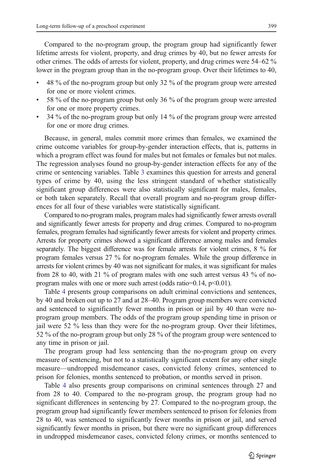Compared to the no-program group, the program group had significantly fewer lifetime arrests for violent, property, and drug crimes by 40, but no fewer arrests for other crimes. The odds of arrests for violent, property, and drug crimes were 54–62 % lower in the program group than in the no-program group. Over their lifetimes to 40,

- & 48 % of the no-program group but only 32 % of the program group were arrested for one or more violent crimes.
- & 58 % of the no-program group but only 36 % of the program group were arrested for one or more property crimes.
- & 34 % of the no-program group but only 14 % of the program group were arrested for one or more drug crimes.

Because, in general, males commit more crimes than females, we examined the crime outcome variables for group-by-gender interaction effects, that is, patterns in which a program effect was found for males but not females or females but not males. The regression analyses found no group-by-gender interaction effects for any of the crime or sentencing variables. Table [3](#page-11-0) examines this question for arrests and general types of crime by 40, using the less stringent standard of whether statistically significant group differences were also statistically significant for males, females, or both taken separately. Recall that overall program and no-program group differences for all four of these variables were statistically significant.

Compared to no-program males, program males had significantly fewer arrests overall and significantly fewer arrests for property and drug crimes. Compared to no-program females, program females had significantly fewer arrests for violent and property crimes. Arrests for property crimes showed a significant difference among males and females separately. The biggest difference was for female arrests for violent crimes, 8 % for program females versus 27 % for no-program females. While the group difference in arrests for violent crimes by 40 was not significant for males, it was significant for males from 28 to 40, with 21 % of program males with one such arrest versus 43 % of noprogram males with one or more such arrest (odds ratio= $0.14$ , p< $0.01$ ).

Table [4](#page-12-0) presents group comparisons on adult criminal convictions and sentences, by 40 and broken out up to 27 and at 28–40. Program group members were convicted and sentenced to significantly fewer months in prison or jail by 40 than were noprogram group members. The odds of the program group spending time in prison or jail were 52 % less than they were for the no-program group. Over their lifetimes, 52 % of the no-program group but only 28 % of the program group were sentenced to any time in prison or jail.

The program group had less sentencing than the no-program group on every measure of sentencing, but not to a statistically significant extent for any other single measure—undropped misdemeanor cases, convicted felony crimes, sentenced to prison for felonies, months sentenced to probation, or months served in prison.

Table [4](#page-12-0) also presents group comparisons on criminal sentences through 27 and from 28 to 40. Compared to the no-program group, the program group had no significant differences in sentencing by 27. Compared to the no-program group, the program group had significantly fewer members sentenced to prison for felonies from 28 to 40, was sentenced to significantly fewer months in prison or jail, and served significantly fewer months in prison, but there were no significant group differences in undropped misdemeanor cases, convicted felony crimes, or months sentenced to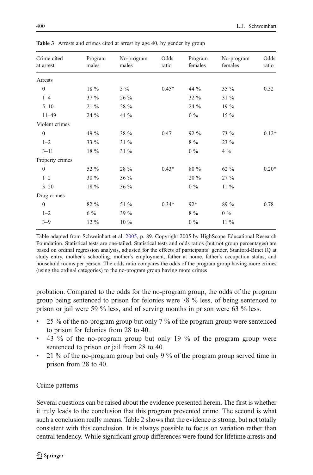| Crime cited<br>at arrest | Program<br>males | No-program<br>males | Odds<br>ratio | Program<br>females | No-program<br>females | Odds<br>ratio |
|--------------------------|------------------|---------------------|---------------|--------------------|-----------------------|---------------|
| Arrests                  |                  |                     |               |                    |                       |               |
| $\boldsymbol{0}$         | 18 %             | $5\%$               | $0.45*$       | 44 $%$             | $35\%$                | 0.52          |
| $1 - 4$                  | $37 \%$          | 26 %                |               | $32\%$             | 31 %                  |               |
| $5 - 10$                 | 21 %             | 28 %                |               | 24 %               | $19\%$                |               |
| $11 - 49$                | 24 %             | 41 %                |               | $0\%$              | $15\%$                |               |
| Violent crimes           |                  |                     |               |                    |                       |               |
| $\boldsymbol{0}$         | 49 %             | 38 %                | 0.47          | 92 %               | 73 %                  | $0.12*$       |
| $1 - 2$                  | $33\%$           | $31\%$              |               | $8\%$              | $23\%$                |               |
| $3 - 11$                 | 18 %             | 31 %                |               | $0\%$              | $4\%$                 |               |
| Property crimes          |                  |                     |               |                    |                       |               |
| $\boldsymbol{0}$         | 52 %             | 28 %                | $0.43*$       | 80 %               | 62 %                  | $0.20*$       |
| $1 - 2$                  | 30 %             | 36 %                |               | 20 %               | $27\%$                |               |
| $3 - 20$                 | 18 %             | 36 %                |               | $0\%$              | $11\%$                |               |
| Drug crimes              |                  |                     |               |                    |                       |               |
| $\boldsymbol{0}$         | 82 %             | 51 $%$              | $0.34*$       | $92*$              | 89 %                  | 0.78          |
| $1 - 2$                  | $6\%$            | 39 $%$              |               | $8\%$              | $0\%$                 |               |
| $3 - 9$                  | 12 %             | 10 %                |               | $0\%$              | $11\%$                |               |

<span id="page-11-0"></span>Table 3 Arrests and crimes cited at arrest by age 40, by gender by group

Table adapted from Schweinhart et al. [2005](#page-19-0), p. 89. Copyright 2005 by HighScope Educational Research Foundation. Statistical tests are one-tailed. Statistical tests and odds ratios (but not group percentages) are based on ordinal regression analysis, adjusted for the effects of participants' gender, Stanford-Binet IQ at study entry, mother's schooling, mother's employment, father at home, father's occupation status, and household rooms per person. The odds ratio compares the odds of the program group having more crimes (using the ordinal categories) to the no-program group having more crimes

probation. Compared to the odds for the no-program group, the odds of the program group being sentenced to prison for felonies were 78 % less, of being sentenced to prison or jail were 59 % less, and of serving months in prison were 63 % less.

- & 25 % of the no-program group but only 7 % of the program group were sentenced to prison for felonies from 28 to 40.
- & 43 % of the no-program group but only 19 % of the program group were sentenced to prison or jail from 28 to 40.
- & 21 % of the no-program group but only 9 % of the program group served time in prison from 28 to 40.

# Crime patterns

Several questions can be raised about the evidence presented herein. The first is whether it truly leads to the conclusion that this program prevented crime. The second is what such a conclusion really means. Table [2](#page-9-0) shows that the evidence is strong, but not totally consistent with this conclusion. It is always possible to focus on variation rather than central tendency. While significant group differences were found for lifetime arrests and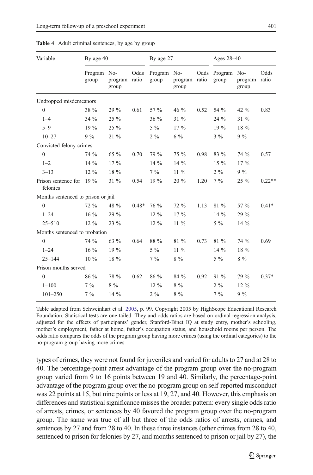| Variable                           | By age 40        |                         |               | By age 27        |                           |               | Ages 28-40       |                         |               |
|------------------------------------|------------------|-------------------------|---------------|------------------|---------------------------|---------------|------------------|-------------------------|---------------|
|                                    | Program<br>group | No-<br>program<br>group | Odds<br>ratio | Program<br>group | $No-$<br>program<br>group | Odds<br>ratio | Program<br>group | No-<br>program<br>group | Odds<br>ratio |
| Undropped misdemeanors             |                  |                         |               |                  |                           |               |                  |                         |               |
| $\mathbf{0}$                       | 38 %             | $29\%$                  | 0.61          | 57 %             | 46 %                      | 0.52          | 54 %             | 42 $\%$                 | 0.83          |
| $1 - 4$                            | $34\%$           | $25\%$                  |               | $36\%$           | $31\%$                    |               | 24 %             | $31\%$                  |               |
| $5 - 9$                            | $19\%$           | 25 %                    |               | $5\%$            | $17\%$                    |               | $19\%$           | 18 %                    |               |
| $10 - 27$                          | $9\%$            | 21 %                    |               | $2\frac{0}{0}$   | $6\%$                     |               | $3\%$            | $9\%$                   |               |
| Convicted felony crimes            |                  |                         |               |                  |                           |               |                  |                         |               |
| $\boldsymbol{0}$                   | 74 %             | $65\%$                  | 0.70          | 79 %             | 75 %                      | 0.98          | 83 %             | 74 %                    | 0.57          |
| $1 - 2$                            | $14\%$           | 17 %                    |               | $14\%$           | $14\%$                    |               | $15\%$           | $17\%$                  |               |
| $3 - 13$                           | $12\%$           | 18 %                    |               | $7\%$            | $11\%$                    |               | $2\%$            | $9\%$                   |               |
| Prison sentence for<br>felonies    | $19\%$           | 31 %                    | 0.54          | $19\%$           | $20\%$                    | 1.20          | $7\%$            | $25\%$                  | $0.22**$      |
| Months sentenced to prison or jail |                  |                         |               |                  |                           |               |                  |                         |               |
| $\mathbf{0}$                       | 72 %             | 48 %                    | $0.48*$       | 76 %             | 72 %                      | 1.13          | 81 %             | 57 %                    | $0.41*$       |
| $1 - 24$                           | $16\%$           | 29 %                    |               | $12\%$           | $17\%$                    |               | $14\%$           | 29 %                    |               |
| $25 - 510$                         | 12 %             | $23\%$                  |               | 12 %             | $11\%$                    |               | $5\%$            | 14 %                    |               |
| Months sentenced to probation      |                  |                         |               |                  |                           |               |                  |                         |               |
| $\theta$                           | 74 %             | $63\%$                  | 0.64          | 88 %             | 81 %                      | 0.73          | 81 %             | 74 %                    | 0.69          |
| $1 - 24$                           | $16\%$           | $19\%$                  |               | $5\%$            | $11\%$                    |               | $14\%$           | 18 %                    |               |
| $25 - 144$                         | $10\%$           | 18 %                    |               | $7\%$            | $8\%$                     |               | $5\%$            | $8\%$                   |               |
| Prison months served               |                  |                         |               |                  |                           |               |                  |                         |               |
| $\mathbf{0}$                       | 86 %             | 78 %                    | 0.62          | 86 %             | 84 %                      | 0.92          | 91 %             | 79 %                    | $0.37*$       |
| $1 - 100$                          | $7\%$            | $8\%$                   |               | $12\%$           | $8\%$                     |               | $2\%$            | 12 %                    |               |
| $101 - 250$                        | $7\%$            | 14 %                    |               | $2\frac{9}{6}$   | $8\%$                     |               | $7\%$            | $9\%$                   |               |

<span id="page-12-0"></span>Table 4 Adult criminal sentences, by age by group

Table adapted from Schweinhart et al. [2005](#page-19-0), p. 99. Copyright 2005 by HighScope Educational Research Foundation. Statistical tests are one-tailed. They and odds ratios are based on ordinal regression analysis, adjusted for the effects of participants' gender, Stanford-Binet IQ at study entry, mother's schooling, mother's employment, father at home, father's occupation status, and household rooms per person. The odds ratio compares the odds of the program group having more crimes (using the ordinal categories) to the no-program group having more crimes

types of crimes, they were not found for juveniles and varied for adults to 27 and at 28 to 40. The percentage-point arrest advantage of the program group over the no-program group varied from 9 to 16 points between 19 and 40. Similarly, the percentage-point advantage of the program group over the no-program group on self-reported misconduct was 22 points at 15, but nine points or less at 19, 27, and 40. However, this emphasis on differences and statistical significance misses the broader pattern: every single odds ratio of arrests, crimes, or sentences by 40 favored the program group over the no-program group. The same was true of all but three of the odds ratios of arrests, crimes, and sentences by 27 and from 28 to 40. In these three instances (other crimes from 28 to 40, sentenced to prison for felonies by 27, and months sentenced to prison or jail by 27), the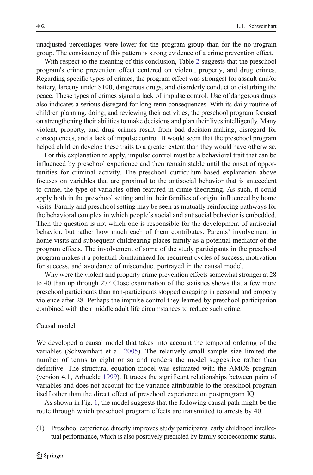unadjusted percentages were lower for the program group than for the no-program group. The consistency of this pattern is strong evidence of a crime prevention effect.

With respect to the meaning of this conclusion, Table [2](#page-9-0) suggests that the preschool program's crime prevention effect centered on violent, property, and drug crimes. Regarding specific types of crimes, the program effect was strongest for assault and/or battery, larceny under \$100, dangerous drugs, and disorderly conduct or disturbing the peace. These types of crimes signal a lack of impulse control. Use of dangerous drugs also indicates a serious disregard for long-term consequences. With its daily routine of children planning, doing, and reviewing their activities, the preschool program focused on strengthening their abilities to make decisions and plan their lives intelligently. Many violent, property, and drug crimes result from bad decision-making, disregard for consequences, and a lack of impulse control. It would seem that the preschool program helped children develop these traits to a greater extent than they would have otherwise.

For this explanation to apply, impulse control must be a behavioral trait that can be influenced by preschool experience and then remain stable until the onset of opportunities for criminal activity. The preschool curriculum-based explanation above focuses on variables that are proximal to the antisocial behavior that is antecedent to crime, the type of variables often featured in crime theorizing. As such, it could apply both in the preschool setting and in their families of origin, influenced by home visits. Family and preschool setting may be seen as mutually reinforcing pathways for the behavioral complex in which people's social and antisocial behavior is embedded. Then the question is not which one is responsible for the development of antisocial behavior, but rather how much each of them contributes. Parents' involvement in home visits and subsequent childrearing places family as a potential mediator of the program effects. The involvement of some of the study participants in the preschool program makes it a potential fountainhead for recurrent cycles of success, motivation for success, and avoidance of misconduct portrayed in the causal model.

Why were the violent and property crime prevention effects somewhat stronger at 28 to 40 than up through 27? Close examination of the statistics shows that a few more preschool participants than non-participants stopped engaging in personal and property violence after 28. Perhaps the impulse control they learned by preschool participation combined with their middle adult life circumstances to reduce such crime.

#### Causal model

We developed a causal model that takes into account the temporal ordering of the variables (Schweinhart et al. [2005\)](#page-19-0). The relatively small sample size limited the number of terms to eight or so and renders the model suggestive rather than definitive. The structural equation model was estimated with the AMOS program (version 4.1, Arbuckle [1999](#page-18-0)). It traces the significant relationships between pairs of variables and does not account for the variance attributable to the preschool program itself other than the direct effect of preschool experience on postprogram IQ.

As shown in Fig. [1](#page-14-0), the model suggests that the following causal path might be the route through which preschool program effects are transmitted to arrests by 40.

(1) Preschool experience directly improves study participants' early childhood intellectual performance, which is also positively predicted by family socioeconomic status.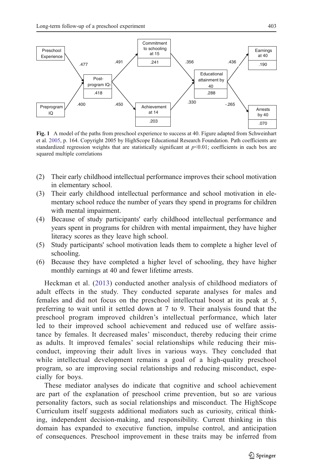<span id="page-14-0"></span>

Fig. 1 A model of the paths from preschool experience to success at 40. Figure adapted from Schweinhart et al. [2005,](#page-19-0) p. 164. Copyright 2005 by HighScope Educational Research Foundation. Path coefficients are standardized regression weights that are statistically significant at  $p<0.01$ ; coefficients in each box are squared multiple correlations

- (2) Their early childhood intellectual performance improves their school motivation in elementary school.
- (3) Their early childhood intellectual performance and school motivation in elementary school reduce the number of years they spend in programs for children with mental impairment.
- (4) Because of study participants' early childhood intellectual performance and years spent in programs for children with mental impairment, they have higher literacy scores as they leave high school.
- (5) Study participants' school motivation leads them to complete a higher level of schooling.
- (6) Because they have completed a higher level of schooling, they have higher monthly earnings at 40 and fewer lifetime arrests.

Heckman et al. ([2013](#page-19-0)) conducted another analysis of childhood mediators of adult effects in the study. They conducted separate analyses for males and females and did not focus on the preschool intellectual boost at its peak at 5, preferring to wait until it settled down at 7 to 9. Their analysis found that the preschool program improved children's intellectual performance, which later led to their improved school achievement and reduced use of welfare assistance by females. It decreased males' misconduct, thereby reducing their crime as adults. It improved females' social relationships while reducing their misconduct, improving their adult lives in various ways. They concluded that while intellectual development remains a goal of a high-quality preschool program, so are improving social relationships and reducing misconduct, especially for boys.

These mediator analyses do indicate that cognitive and school achievement are part of the explanation of preschool crime prevention, but so are various personality factors, such as social relationships and misconduct. The HighScope Curriculum itself suggests additional mediators such as curiosity, critical thinking, independent decision-making, and responsibility. Current thinking in this domain has expanded to executive function, impulse control, and anticipation of consequences. Preschool improvement in these traits may be inferred from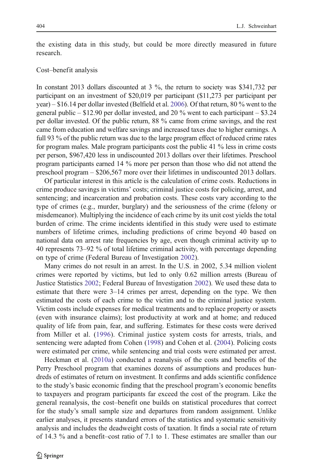the existing data in this study, but could be more directly measured in future research.

## Cost–benefit analysis

In constant 2013 dollars discounted at 3 %, the return to society was \$341,732 per participant on an investment of \$20,019 per participant (\$11,273 per participant per year) – \$16.14 per dollar invested (Belfield et al. [2006](#page-18-0)). Of that return, 80 % went to the general public – \$12.90 per dollar invested, and 20 % went to each participant – \$3.24 per dollar invested. Of the public return, 88 % came from crime savings, and the rest came from education and welfare savings and increased taxes due to higher earnings. A full 93 % of the public return was due to the large program effect of reduced crime rates for program males. Male program participants cost the public 41 % less in crime costs per person, \$967,420 less in undiscounted 2013 dollars over their lifetimes. Preschool program participants earned 14 % more per person than those who did not attend the preschool program – \$206,567 more over their lifetimes in undiscounted 2013 dollars.

Of particular interest in this article is the calculation of crime costs. Reductions in crime produce savings in victims' costs; criminal justice costs for policing, arrest, and sentencing; and incarceration and probation costs. These costs vary according to the type of crimes (e.g., murder, burglary) and the seriousness of the crime (felony or misdemeanor). Multiplying the incidence of each crime by its unit cost yields the total burden of crime. The crime incidents identified in this study were used to estimate numbers of lifetime crimes, including predictions of crime beyond 40 based on national data on arrest rate frequencies by age, even though criminal activity up to 40 represents 73–92 % of total lifetime criminal activity, with percentage depending on type of crime (Federal Bureau of Investigation [2002\)](#page-19-0).

Many crimes do not result in an arrest. In the U.S. in 2002, 5.34 million violent crimes were reported by victims, but led to only 0.62 million arrests (Bureau of Justice Statistics [2002;](#page-18-0) Federal Bureau of Investigation [2002](#page-19-0)). We used these data to estimate that there were 3–14 crimes per arrest, depending on the type. We then estimated the costs of each crime to the victim and to the criminal justice system. Victim costs include expenses for medical treatments and to replace property or assets (even with insurance claims); lost productivity at work and at home; and reduced quality of life from pain, fear, and suffering. Estimates for these costs were derived from Miller et al. ([1996\)](#page-19-0). Criminal justice system costs for arrests, trials, and sentencing were adapted from Cohen [\(1998](#page-19-0)) and Cohen et al. [\(2004](#page-19-0)). Policing costs were estimated per crime, while sentencing and trial costs were estimated per arrest.

Heckman et al. ([2010a](#page-19-0)) conducted a reanalysis of the costs and benefits of the Perry Preschool program that examines dozens of assumptions and produces hundreds of estimates of return on investment. It confirms and adds scientific confidence to the study's basic economic finding that the preschool program's economic benefits to taxpayers and program participants far exceed the cost of the program. Like the general reanalysis, the cost–benefit one builds on statistical procedures that correct for the study's small sample size and departures from random assignment. Unlike earlier analyses, it presents standard errors of the statistics and systematic sensitivity analysis and includes the deadweight costs of taxation. It finds a social rate of return of 14.3 % and a benefit–cost ratio of 7.1 to 1. These estimates are smaller than our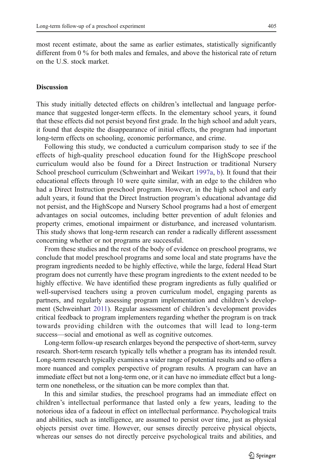most recent estimate, about the same as earlier estimates, statistically significantly different from 0 % for both males and females, and above the historical rate of return on the U.S. stock market.

#### **Discussion**

This study initially detected effects on children's intellectual and language performance that suggested longer-term effects. In the elementary school years, it found that these effects did not persist beyond first grade. In the high school and adult years, it found that despite the disappearance of initial effects, the program had important long-term effects on schooling, economic performance, and crime.

Following this study, we conducted a curriculum comparison study to see if the effects of high-quality preschool education found for the HighScope preschool curriculum would also be found for a Direct Instruction or traditional Nursery School preschool curriculum (Schweinhart and Weikart [1997a](#page-19-0), [b\)](#page-19-0). It found that their educational effects through 10 were quite similar, with an edge to the children who had a Direct Instruction preschool program. However, in the high school and early adult years, it found that the Direct Instruction program's educational advantage did not persist, and the HighScope and Nursery School programs had a host of emergent advantages on social outcomes, including better prevention of adult felonies and property crimes, emotional impairment or disturbance, and increased voluntarism. This study shows that long-term research can render a radically different assessment concerning whether or not programs are successful.

From these studies and the rest of the body of evidence on preschool programs, we conclude that model preschool programs and some local and state programs have the program ingredients needed to be highly effective, while the large, federal Head Start program does not currently have these program ingredients to the extent needed to be highly effective. We have identified these program ingredients as fully qualified or well-supervised teachers using a proven curriculum model, engaging parents as partners, and regularly assessing program implementation and children's development (Schweinhart [2011](#page-19-0)). Regular assessment of children's development provides critical feedback to program implementers regarding whether the program is on track towards providing children with the outcomes that will lead to long-term success—social and emotional as well as cognitive outcomes.

Long-term follow-up research enlarges beyond the perspective of short-term, survey research. Short-term research typically tells whether a program has its intended result. Long-term research typically examines a wider range of potential results and so offers a more nuanced and complex perspective of program results. A program can have an immediate effect but not a long-term one, or it can have no immediate effect but a longterm one nonetheless, or the situation can be more complex than that.

In this and similar studies, the preschool programs had an immediate effect on children's intellectual performance that lasted only a few years, leading to the notorious idea of a fadeout in effect on intellectual performance. Psychological traits and abilities, such as intelligence, are assumed to persist over time, just as physical objects persist over time. However, our senses directly perceive physical objects, whereas our senses do not directly perceive psychological traits and abilities, and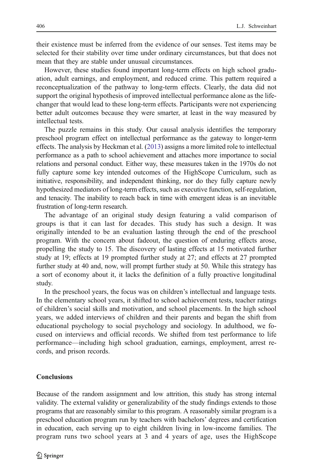their existence must be inferred from the evidence of our senses. Test items may be selected for their stability over time under ordinary circumstances, but that does not mean that they are stable under unusual circumstances.

However, these studies found important long-term effects on high school graduation, adult earnings, and employment, and reduced crime. This pattern required a reconceptualization of the pathway to long-term effects. Clearly, the data did not support the original hypothesis of improved intellectual performance alone as the lifechanger that would lead to these long-term effects. Participants were not experiencing better adult outcomes because they were smarter, at least in the way measured by intellectual tests.

The puzzle remains in this study. Our causal analysis identifies the temporary preschool program effect on intellectual performance as the gateway to longer-term effects. The analysis by Heckman et al. [\(2013\)](#page-19-0) assigns a more limited role to intellectual performance as a path to school achievement and attaches more importance to social relations and personal conduct. Either way, these measures taken in the 1970s do not fully capture some key intended outcomes of the HighScope Curriculum, such as initiative, responsibility, and independent thinking, nor do they fully capture newly hypothesized mediators of long-term effects, such as executive function, self-regulation, and tenacity. The inability to reach back in time with emergent ideas is an inevitable frustration of long-term research.

The advantage of an original study design featuring a valid comparison of groups is that it can last for decades. This study has such a design. It was originally intended to be an evaluation lasting through the end of the preschool program. With the concern about fadeout, the question of enduring effects arose, propelling the study to 15. The discovery of lasting effects at 15 motivated further study at 19; effects at 19 prompted further study at 27; and effects at 27 prompted further study at 40 and, now, will prompt further study at 50. While this strategy has a sort of economy about it, it lacks the definition of a fully proactive longitudinal study.

In the preschool years, the focus was on children's intellectual and language tests. In the elementary school years, it shifted to school achievement tests, teacher ratings of children's social skills and motivation, and school placements. In the high school years, we added interviews of children and their parents and began the shift from educational psychology to social psychology and sociology. In adulthood, we focused on interviews and official records. We shifted from test performance to life performance—including high school graduation, earnings, employment, arrest records, and prison records.

# Conclusions

Because of the random assignment and low attrition, this study has strong internal validity. The external validity or generalizability of the study findings extends to those programs that are reasonably similar to this program. A reasonably similar program is a preschool education program run by teachers with bachelors' degrees and certification in education, each serving up to eight children living in low-income families. The program runs two school years at 3 and 4 years of age, uses the HighScope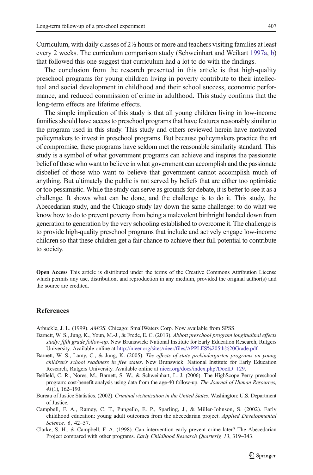<span id="page-18-0"></span>Curriculum, with daily classes of  $2\frac{1}{2}$  hours or more and teachers visiting families at least every 2 weeks. The curriculum comparison study (Schweinhart and Weikart [1997a](#page-19-0), [b](#page-19-0)) that followed this one suggest that curriculum had a lot to do with the findings.

The conclusion from the research presented in this article is that high-quality preschool programs for young children living in poverty contribute to their intellectual and social development in childhood and their school success, economic performance, and reduced commission of crime in adulthood. This study confirms that the long-term effects are lifetime effects.

The simple implication of this study is that all young children living in low-income families should have access to preschool programs that have features reasonably similar to the program used in this study. This study and others reviewed herein have motivated policymakers to invest in preschool programs. But because policymakers practice the art of compromise, these programs have seldom met the reasonable similarity standard. This study is a symbol of what government programs can achieve and inspires the passionate belief of those who want to believe in what government can accomplish and the passionate disbelief of those who want to believe that government cannot accomplish much of anything. But ultimately the public is not served by beliefs that are either too optimistic or too pessimistic. While the study can serve as grounds for debate, it is better to see it as a challenge. It shows what can be done, and the challenge is to do it. This study, the Abecedarian study, and the Chicago study lay down the same challenge: to do what we know how to do to prevent poverty from being a malevolent birthright handed down from generation to generation by the very schooling established to overcome it. The challenge is to provide high-quality preschool programs that include and actively engage low-income children so that these children get a fair chance to achieve their full potential to contribute to society.

Open Access This article is distributed under the terms of the Creative Commons Attribution License which permits any use, distribution, and reproduction in any medium, provided the original author(s) and the source are credited.

## **References**

Arbuckle, J. L. (1999). AMOS. Chicago: SmallWaters Corp. Now available from SPSS.

- Barnett, W. S., Jung, K., Youn, M.-J., & Frede, E. C. (2013). Abbott preschool program longitudinal effects study: fifth grade follow-up. New Brunswick: National Institute for Early Education Research, Rutgers University. Available online at [http://nieer.org/sites/nieer/files/APPLES%205th%20Grade.pdf.](http://nieer.org/sites/nieer/files/APPLES%205th%20Grade.pdf)
- Barnett, W. S., Lamy, C., & Jung, K. (2005). The effects of state prekindergarten programs on young children's school readiness in five states. New Brunswick: National Institute for Early Education Research, Rutgers University. Available online at [nieer.org/docs/index.php?DocID=129.](http://nieer.org/docs/index.php?DocID=129)
- Belfield, C. R., Nores, M., Barnett, S. W., & Schweinhart, L. J. (2006). The HighScope Perry preschool program: cost-benefit analysis using data from the age-40 follow-up. The Journal of Human Resources, 41(1), 162–190.
- Bureau of Justice Statistics. (2002). Criminal victimization in the United States. Washington: U.S. Department of Justice.
- Campbell, F. A., Ramey, C. T., Pungello, E. P., Sparling, J., & Miller-Johnson, S. (2002). Early childhood education: young adult outcomes from the abecedarian project. Applied Developmental Science, 6, 42–57.
- Clarke, S. H., & Campbell, F. A. (1998). Can intervention early prevent crime later? The Abecedarian Project compared with other programs. Early Childhood Research Quarterly, 13, 319–343.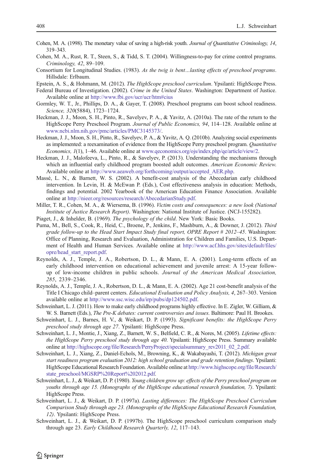- <span id="page-19-0"></span>Cohen, M. A. (1998). The monetary value of saving a high-risk youth. Journal of Quantitative Criminology, 14, 319–343.
- Cohen, M. A., Rust, R. T., Steen, S., & Tidd, S. T. (2004). Willingness-to-pay for crime control programs. Criminology, 42, 89–109.
- Consortium for Longitudinal Studies. (1983). As the twig is bent…lasting effects of preschool programs. Hillsdale: Erlbaum.

Epstein, A. S., & Hohmann, M. (2012). The HighScope preschool curriculum. Ypsilanti: HighScope Press.

- Federal Bureau of Investigation. (2002). Crime in the United States. Washington: Department of Justice. Available online at <http://www.fbi.gov/ucr/ucr/htm#cius>
- Gormley, W. T., Jr., Phillips, D. A., & Gayer, T. (2008). Preschool programs can boost school readiness. Science, 320(5884), 1723–1724.
- Heckman, J. J., Moon, S. H., Pinto, R., Savelyev, P. A., & Yavitz, A. (2010a). The rate of the return to the HighScope Perry Preschool Program. Journal of Public Economics, 94, 114–128. Available online at [www.ncbi.nlm.nih.gov/pmc/articles/PMC3145373/.](http://www.ncbi.nlm.nih.gov/pmc/articles/PMC3145373/)
- Heckman, J. J., Moon, S. H., Pinto, R., Savelyev, P. A., & Yavitz, A. Q. (2010b). Analyzing social experiments as implemented: a reexamination of evidence from the HighScope Perry preschool program. Quantitative Economics, 1(1), 1–46. Available online at [www.qeconomics.org/ojs/index.php/qe/article/view/2.](http://www.qeconomics.org/ojs/index.php/qe/article/view/2)
- Heckman, J. J., Malofeeva, L., Pinto, R., & Savelyev, P. (2013). Understanding the mechanisms through which an influential early childhood program boosted adult outcomes. American Economic Review. Available online at [http://www.aeaweb.org/forthcoming/output/accepted\\_AER.php.](http://www.aeaweb.org/forthcoming/output/accepted_AER.php)
- Massé, L. N., & Barnett, W. S. (2002). A benefit-cost analysis of the Abecedarian early childhood intervention. In Levin, H. & McEwan P. (Eds.), Cost effectiveness analysis in education: Methods, findings and potential. 2002 Yearbook of the American Education Finance Association. Available online at [http://nieer.org/resources/research/AbecedarianStudy.pdf.](http://nieer.org/resources/research/AbecedarianStudy.pdf)
- Miller, T. R., Cohen, M. A., & Wiersema, B. (1996). Victim costs and consequences: a new look (National Institute of Justice Research Report). Washington: National Institute of Justice. (NCJ-155282).
- Piaget, J., & Inhelder, B. (1969). The psychology of the child. New York: Basic Books.
- Puma, M., Bell, S., Cook, R., Heid, C., Broene, P., Jenkins, F., Mashburn, A., & Downer, J. (2012). Third grade follow-up to the Head Start Impact Study final report, OPRE Report # 2012–45. Washington: Office of Planning, Research and Evaluation, Administration for Children and Families, U.S. Department of Health and Human Services. Available online at [http://www.acf.hhs.gov/sites/default/files/](http://www.acf.hhs.gov/sites/default/files/opre/head_start_report.pdf) [opre/head\\_start\\_report.pdf.](http://www.acf.hhs.gov/sites/default/files/opre/head_start_report.pdf)
- Reynolds, A. J., Temple, J. A., Robertson, D. L., & Mann, E. A. (2001). Long-term effects of an early childhood intervention on educational achievement and juvenile arrest: A 15-year followup of low-income children in public schools. Journal of the American Medical Association, 285, 2339–2346.
- Reynolds, A. J., Temple, J. A., Robertson, D. L., & Mann, E. A. (2002). Age 21 cost-benefit analysis of the Title I Chicago child–parent centers. Educational Evaluation and Policy Analysis, 4, 267–303. Version available online at [http://www.ssc.wisc.edu/irp/pubs/dp124502.pdf.](http://www.ssc.wisc.edu/irp/pubs/dp124502.pdf)
- Schweinhart, L. J. (2011). How to make early childhood programs highly effective. In E. Zigler, W. Gilliam, & W. S. Barnett (Eds.), The Pre-K debates: current controversies and issues. Baltimore: Paul H. Brookes.
- Schweinhart, L. J., Barnes, H. V., & Weikart, D. P. (1993). Significant benefits: the HighScope Perry preschool study through age 27. Ypsilanti: HighScope Press.
- Schweinhart, L. J., Montie, J., Xiang, Z., Barnett, W. S., Belfield, C. R., & Nores, M. (2005). Lifetime effects: the HighScope Perry preschool study through age 40. Ypsilanti: HighScope Press. Summary available online at [http://highscope.org/file/Research/PerryProject/specialsummary\\_rev2011\\_02\\_2.pdf](http://highscope.org/file/Research/PerryProject/specialsummary_rev2011_02_2.pdf).
- Schweinhart, L. J., Xiang, Z., Daniel-Echols, M., Browning, K., & Wakabayashi, T. (2012). Michigan great start readiness program evaluation 2012: high school graduation and grade retention findings. Ypsilanti: HighScope Educational Research Foundation. Available online at [http://www.highscope.org/file/Research/](http://www.highscope.org/file/Research/state_preschool/MGSRP%20Report%202012.pdf) [state\\_preschool/MGSRP%20Report%202012.pdf.](http://www.highscope.org/file/Research/state_preschool/MGSRP%20Report%202012.pdf)
- Schweinhart, L. J., & Weikart, D. P. (1980). Young children grow up: effects of the Perry preschool program on youths through age 15. (Monographs of the HighScope educational research foundation, 7). Ypsilanti: HighScope Press.
- Schweinhart, L. J., & Weikart, D. P. (1997a). Lasting differences: The HighScope Preschool Curriculum Comparison Study through age 23. (Monographs of the HighScope Educational Research Foundation, 12). Ypsilanti: HighScope Press.
- Schweinhart, L. J., & Weikart, D. P. (1997b). The HighScope preschool curriculum comparison study through age 23. Early Childhood Research Quarterly, 12, 117–143.